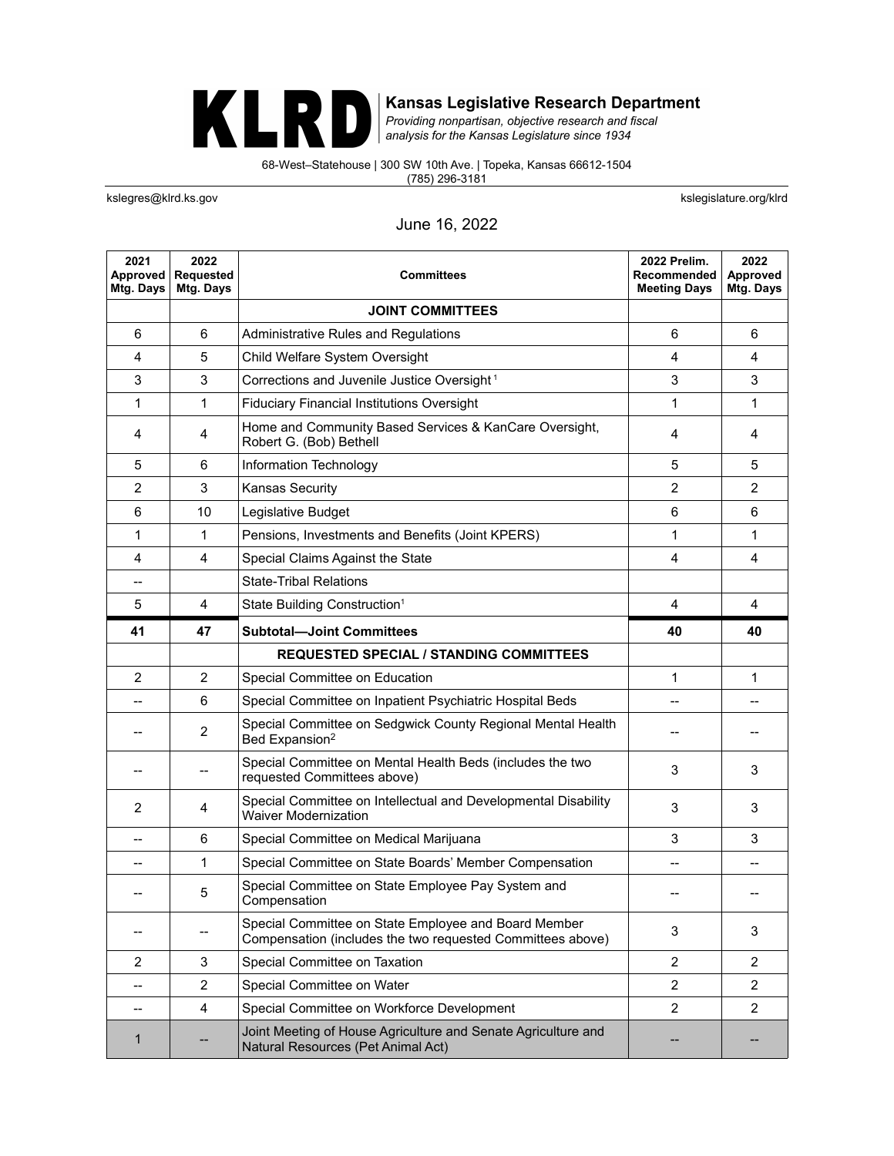## KLRD

**Kansas Legislative Research Department**<br>Providing nonpartisan, objective research and fiscal<br>analysis for the Kansas Legislature since 1934

68-West–Statehouse | 300 SW 10th Ave. | Topeka, Kansas 66612-1504 (785) 296-3181

kslegres@klrd.ks.gov **kslegislature.org/klrd** 

## June 16, 2022

| 2021<br>Approved<br>Mtg. Days | 2022<br><b>Requested</b><br>Mtg. Days | <b>Committees</b>                                                                                                  | 2022 Prelim.<br>Recommended<br><b>Meeting Days</b> | 2022<br>Approved<br>Mtg. Days |
|-------------------------------|---------------------------------------|--------------------------------------------------------------------------------------------------------------------|----------------------------------------------------|-------------------------------|
|                               |                                       | <b>JOINT COMMITTEES</b>                                                                                            |                                                    |                               |
| 6                             | 6                                     | Administrative Rules and Regulations                                                                               | 6                                                  | 6                             |
| 4                             | 5                                     | Child Welfare System Oversight                                                                                     | $\overline{4}$                                     | 4                             |
| 3                             | 3                                     | Corrections and Juvenile Justice Oversight <sup>1</sup>                                                            | 3                                                  | 3                             |
| 1                             | 1                                     | <b>Fiduciary Financial Institutions Oversight</b>                                                                  | 1                                                  | 1                             |
| 4                             | 4                                     | Home and Community Based Services & KanCare Oversight,<br>Robert G. (Bob) Bethell                                  | 4                                                  | 4                             |
| 5                             | 6                                     | Information Technology                                                                                             | 5                                                  | 5                             |
| $\overline{2}$                | 3                                     | <b>Kansas Security</b>                                                                                             | $\overline{2}$                                     | $\overline{2}$                |
| 6                             | 10                                    | Legislative Budget                                                                                                 | 6                                                  | 6                             |
| 1                             | 1                                     | Pensions, Investments and Benefits (Joint KPERS)                                                                   | 1                                                  | 1                             |
| 4                             | $\overline{4}$                        | Special Claims Against the State                                                                                   | $\overline{4}$                                     | $\overline{4}$                |
| --                            |                                       | <b>State-Tribal Relations</b>                                                                                      |                                                    |                               |
| 5                             | 4                                     | State Building Construction <sup>1</sup>                                                                           | 4                                                  | 4                             |
| 41                            | 47                                    | <b>Subtotal-Joint Committees</b>                                                                                   | 40                                                 | 40                            |
|                               |                                       | <b>REQUESTED SPECIAL / STANDING COMMITTEES</b>                                                                     |                                                    |                               |
| $\overline{2}$                | $\overline{2}$                        | Special Committee on Education                                                                                     | 1                                                  | 1                             |
|                               | 6                                     | Special Committee on Inpatient Psychiatric Hospital Beds                                                           | --                                                 |                               |
|                               | 2                                     | Special Committee on Sedgwick County Regional Mental Health<br>Bed Expansion <sup>2</sup>                          |                                                    |                               |
|                               |                                       | Special Committee on Mental Health Beds (includes the two<br>requested Committees above)                           | 3                                                  | 3                             |
| 2                             | 4                                     | Special Committee on Intellectual and Developmental Disability<br><b>Waiver Modernization</b>                      | 3                                                  | 3                             |
|                               | 6                                     | Special Committee on Medical Marijuana                                                                             | 3                                                  | 3                             |
|                               | 1                                     | Special Committee on State Boards' Member Compensation                                                             | --                                                 |                               |
|                               | 5                                     | Special Committee on State Employee Pay System and<br>Compensation                                                 |                                                    |                               |
|                               |                                       | Special Committee on State Employee and Board Member<br>Compensation (includes the two requested Committees above) | 3                                                  | 3                             |
| $\overline{2}$                | 3                                     | Special Committee on Taxation                                                                                      | $\overline{c}$                                     | $\overline{2}$                |
|                               | 2                                     | Special Committee on Water                                                                                         | 2                                                  | $\overline{c}$                |
|                               | 4                                     | Special Committee on Workforce Development                                                                         | $\overline{2}$                                     | 2                             |
| 1                             |                                       | Joint Meeting of House Agriculture and Senate Agriculture and<br>Natural Resources (Pet Animal Act)                |                                                    |                               |